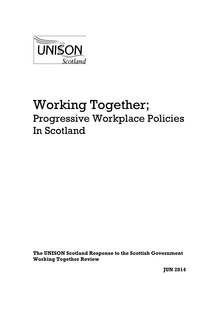

# Working Together; Progressive Workplace Policies In Scotland

**The UNISON Scotland Response to the Scottish Government Working Together Review**

**JUN 2014**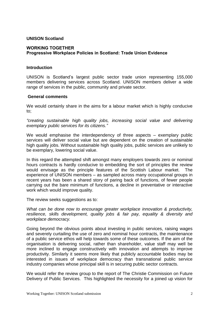## **UNISON Scotland**

## **WORKING TOGETHER Progressive Workplace Policies in Scotland: Trade Union Evidence**

#### **Introduction**

UNISON is Scotland's largest public sector trade union representing 155,000 members delivering services across Scotland. UNISON members deliver a wide range of services in the public, community and private sector.

#### **General comments**

We would certainly share in the aims for a labour market which is highly conducive to;

*"creating sustainable high quality jobs, increasing social value and delivering exemplary public services for its citizens."*

We would emphasise the interdependency of three aspects – exemplary public services will deliver social value but are dependent on the creation of sustainable high quality jobs. Without sustainable high quality jobs, public services are unlikely to be exemplary, lowering social value.

In this regard the attempted shift amongst many employers towards zero or nominal hours contracts is hardly conducive to embedding the sort of principles the review would envisage as the principle features of the Scottish Labour market. The experience of UNISON members – as sampled across many occupational groups in recent years has been a shared story of paring back of functions, of fewer people carrying out the bare minimum of functions, a decline in preventative or interactive work which would improve quality.

The review seeks suggestions as to:

*What can be done now to encourage greater workplace innovation & productivity, resilience, skills development, quality jobs & fair pay, equality & diversity and workplace democracy.*

Going beyond the obvious points about investing in public services, raising wages and severely curtailing the use of zero and nominal hour contracts, the maintenance of a public service ethos will help towards some of these outcomes. If the aim of the organisation is delivering social, rather than shareholder, value staff may well be more inclined to engage constructively with innovation and attempts to improve productivity. Similarly it seems more likely that publicly accountable bodies may be interested in issues of workplace democracy than transnational public service industry companies whose principal skill is in securing public sector contracts.

We would refer the review group to the report of The Christie Commission on Future Delivery of Public Services. This highlighted the necessity for a joined up vision for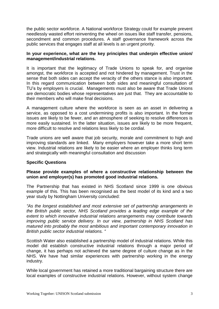the public sector workforce. A National workforce Strategy could for example prevent needlessly wasted effort reinventing the wheel on issues like staff transfer, pensions, secondment and common procedures. A staff governance framework across the public services that engages staff at all levels is an urgent priority.

## **In your experience, what are the key principles that underpin effective union/ management/industrial relations.**

It is important that the legitimacy of Trade Unions to speak for, and organise amongst, the workforce is accepted and not hindered by management. Trust in the sense that both sides can accept the veracity of the others stance is also important. In this regard communication between both sides and meaningful consultation of TU's by employers is crucial. Managements must also be aware that Trade Unions are democratic bodies whose representatives are just that. They are accountable to their members who will make final decisions.

A management culture where the workforce is seen as an asset in delivering a service, as opposed to a cost undermining profits is also important. In the former issues are likely to be fewer, and an atmosphere of seeking to resolve differences is more easily sustained. In the latter situation, issues are likely to be more frequent, more difficult to resolve and relations less likely to be cordial.

Trade unions are well aware that job security, morale and commitment to high and improving standards are linked. Many employers however take a more short term view. Industrial relations are likely to be easier where an employer thinks long term and strategically with meaningful consultation and discussion

# **Specific Questions**

## **Please provide examples of where a constructive relationship between the union and employer(s) has promoted good industrial relations.**

The Partnership that has existed in NHS Scotland since 1999 is one obvious example of this. This has been recognised as the best model of its kind and a two year study by Nottingham University concluded:

*"As the longest established and most extensive set of partnership arrangements in the British public sector, NHS Scotland provides a leading edge example of the extent to which innovative industrial relations arrangements may contribute towards improving public service delivery. In our view, partnership in NHS Scotland has matured into probably the most ambitious and important contemporary innovation in British public sector industrial relations. "*

Scottish Water also established a partnership model of industrial relations. While this model did establish constructive industrial relations through a major period of change, it has perhaps not achieved the same degree of culture change as in the NHS. We have had similar experiences with partnership working in the energy industry.

While local government has retained a more traditional bargaining structure there are local examples of constructive industrial relations. However, without system change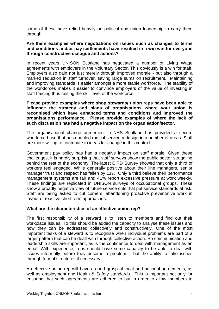some of these have relied heavily on political and union leadership to carry them through.

#### **Are there examples where negotiations on issues such as changes to terms and conditions and/or pay settlements have resulted in a win win for everyone through constructive dialogue and actions?**

In recent years UNISON Scotland has negotiated a number of Living Wage agreements with employers in the Voluntary Sector. This obviously is a win for staff. Employers also gain not just merely through improved morale - but also through a marked reduction in staff turnover, saving large sums on recruitment. Maintaining and improving standards is easier amongst a more stable workforce. The stability of the workforces makes it easier to convince employers of the value of investing in staff training thus raising the skill level of the workforce.

**Please provide examples where shop stewards/ union reps have been able to influence the strategy and plans of organisations where your union is recognised which have enhanced terms and conditions and improved the organisations performance. Please provide examples of where the lack of such discussion has had a negative impact on the organisation/sector.**

The organisational change agreement in NHS Scotland has provided a secure workforce base that has enabled radical service redesign in a number of areas. Staff are more willing to contribute to ideas for change in this context.

Government pay policy has had a negative impact on staff morale. Given these challenges, it is hardly surprising that staff surveys show the public sector struggling behind the rest of the economy. The latest CIPD [Survey](http://unisondave.blogspot.co.uk/2014/05/cipd-survey-paints-bleak-picture-of.html) showed that only a third of workers feel engaged. While generally positive about their line managers, senior manager trust and respect has fallen by 11%. Only a third believe their performance management systems are fair and 41% report excessive pressure at work weekly. These findings are replicated in UNISON surveys of occupational groups. These show a broadly negative view of future service cuts that put service standards at risk. Staff are being asked to cut corners, abandoning proactive preventative work in favour of reactive short term approaches.

## **What are the characteristics of an effective union rep?**

The first responsibility of a steward is to listen to members and find out their workplace issues. To this should be added the capacity to analyse these issues and how they can be addressed collectively and constructively. One of the most important tasks of a steward is to recognise when individual problems are part of a larger pattern that can be dealt with through collective action. So communication and leadership skills are important, as is the confidence to deal with management as an equal. With experience, reps should have some capacity to be able to deal with issues informally before they become a problem – but the ability to take issues through formal structures if necessary.

An effective union rep will have a good grasp of local and national agreements, as well as employment and Health & Safety standards. This is important not only for ensuring that such agreements are adhered to but in order to allow members to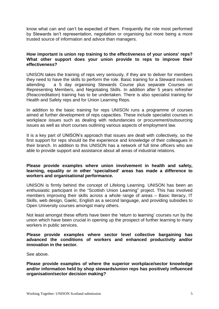know what can and can't be expected of them. Frequently the role most performed by Stewards isn't representation, negotiation or organising but more being a more trusted source of information and advice than managers.

## **How important is union rep training to the effectiveness of your unions' reps? What other support does your union provide to reps to improve their effectiveness?**

UNISON takes the training of reps very seriously, if they are to deliver for members they need to have the skills to perform the role. Basic training for a Steward involves attending a 5 day organising Stewards Course plus separate Courses on Representing Members, and Negotiating Skills. In addition after 5 years refresher (Reaccreditation) training has to be undertaken. There is also specialist training for Health and Safety reps and for Union Learning Reps.

In addition to the basic training for reps UNISON runs a programme of courses aimed at further development of reps capacities. These include specialist courses in workplace issues such as dealing with redundancies or procurement/outsourcing issues as well as short courses outlining various aspects of employment law.

It is a key part of UNISON's approach that issues are dealt with collectively, so the first support for reps should be the experience and knowledge of their colleagues in their branch. In addition to this UNISON has a network of full time officers who are able to provide support and assistance about all areas of industrial relations.

## **Please provide examples where union involvement in health and safety, learning, equality or in other 'specialised' areas has made a difference to workers and organisational performance.**

UNISON is firmly behind the concept of Lifelong Learning. UNISON has been an enthusiastic participant in the "Scottish Union Learning" project. This has involved members improving their skills across a whole range of areas – Basic literacy, IT Skills, web design, Gaelic, English as a second language, and providing subsidies to Open University courses amongst many others.

Not least amongst these efforts have been the 'return to learning' courses run by the union which have been crucial in opening up the prospect of further learning to many workers in public services.

### **Please provide examples where sector level collective bargaining has advanced the conditions of workers and enhanced productivity and/or innovation in the sector.**

See above.

**Please provide examples of where the superior workplace/sector knowledge and/or information held by shop stewards/union reps has positively influenced organisation/sector decision making?**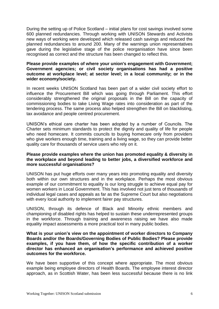During the setting up of Police Scotland – initial plans for cost savings involved some 600 planned redundancies. Through working with UNISON Stewards and Activists new ways of working were developed which released cash savings and reduced the planned redundancies to around 200. Many of the warnings union representatives gave during the legislative stage of the police reorganisation have since been recognised as correct and the structure has been changed to reflect this.

## **Please provide examples of where your union's engagement with Government; Government agencies; or civil society organisations has had a positive outcome at workplace level; at sector level; in a local community; or in the wider economy/society.**

In recent weeks UNISON Scotland has been part of a wider civil society effort to influence the Procurement Bill which was going through Parliament. This effort considerably strengthened the original proposals in the Bill on the capacity of commissioning bodies to take Living Wage rates into consideration as part of the tendering process. The same process also helped strengthen the Bill on blacklisting, tax avoidance and people centred procurement.

UNISON's ethical care charter has been adopted by a number of Councils. The Charter sets minimum standards to protect the dignity and quality of life for people who need homecare. It commits councils to buying homecare only from providers who give workers enough time, training and a living wage, so they can provide better quality care for thousands of service users who rely on it.

#### **Please provide examples where the union has promoted equality & diversity in the workplace and beyond leading to better jobs, a diversified workforce and more successful organisations?**

UNISON has put huge efforts over many years into promoting equality and diversity both within our own structures and in the workplace. Perhaps the most obvious example of our commitment to equality is our long struggle to achieve equal pay for women workers in Local Government. This has involved not just tens of thousands of individual legal cases and appeals as far as the Supreme Court but also negotiations with every local authority to implement fairer pay structures.

UNISON, through its defence of Black and Minority ethnic members and championing of disabled rights has helped to sustain these underrepresented groups in the workforce. Through training and awareness raising we have also made equality impact assessments a more practical tool in many public bodies.

## **What is your union's view on the appointment of worker directors to Company Boards and/or the Boards/Governing Bodies of Public Bodies? Please provide examples, if you have them, of how the specific contribution of a worker director has enhanced an organisation's performance and achieved positive outcomes for the workforce.**

We have been supportive of this concept where appropriate. The most obvious example being employee directors of Health Boards. The employee interest director approach, as in Scottish Water, has been less successful because there is no link